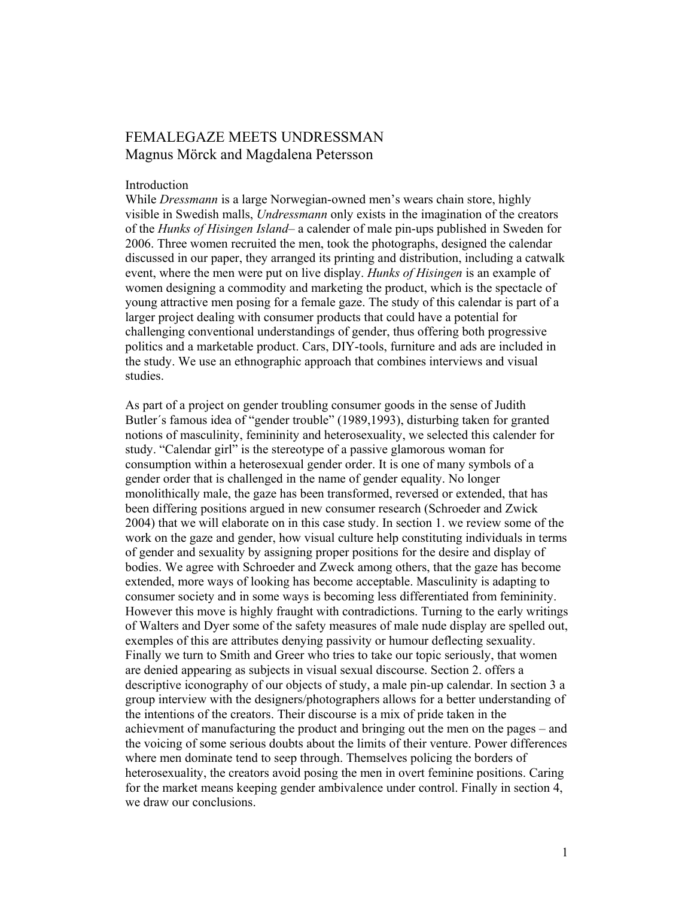# FEMALEGAZE MEETS UNDRESSMAN Magnus Mörck and Magdalena Petersson

#### Introduction

While Dressmann is a large Norwegian-owned men's wears chain store, highly visible in Swedish malls, Undressmann only exists in the imagination of the creators of the Hunks of Hisingen Island– a calender of male pin-ups published in Sweden for 2006. Three women recruited the men, took the photographs, designed the calendar discussed in our paper, they arranged its printing and distribution, including a catwalk event, where the men were put on live display. Hunks of Hisingen is an example of women designing a commodity and marketing the product, which is the spectacle of young attractive men posing for a female gaze. The study of this calendar is part of a larger project dealing with consumer products that could have a potential for challenging conventional understandings of gender, thus offering both progressive politics and a marketable product. Cars, DIY-tools, furniture and ads are included in the study. We use an ethnographic approach that combines interviews and visual studies.

As part of a project on gender troubling consumer goods in the sense of Judith Butler´s famous idea of "gender trouble" (1989,1993), disturbing taken for granted notions of masculinity, femininity and heterosexuality, we selected this calender for study. "Calendar girl" is the stereotype of a passive glamorous woman for consumption within a heterosexual gender order. It is one of many symbols of a gender order that is challenged in the name of gender equality. No longer monolithically male, the gaze has been transformed, reversed or extended, that has been differing positions argued in new consumer research (Schroeder and Zwick 2004) that we will elaborate on in this case study. In section 1. we review some of the work on the gaze and gender, how visual culture help constituting individuals in terms of gender and sexuality by assigning proper positions for the desire and display of bodies. We agree with Schroeder and Zweck among others, that the gaze has become extended, more ways of looking has become acceptable. Masculinity is adapting to consumer society and in some ways is becoming less differentiated from femininity. However this move is highly fraught with contradictions. Turning to the early writings of Walters and Dyer some of the safety measures of male nude display are spelled out, exemples of this are attributes denying passivity or humour deflecting sexuality. Finally we turn to Smith and Greer who tries to take our topic seriously, that women are denied appearing as subjects in visual sexual discourse. Section 2. offers a descriptive iconography of our objects of study, a male pin-up calendar. In section 3 a group interview with the designers/photographers allows for a better understanding of the intentions of the creators. Their discourse is a mix of pride taken in the achievment of manufacturing the product and bringing out the men on the pages – and the voicing of some serious doubts about the limits of their venture. Power differences where men dominate tend to seep through. Themselves policing the borders of heterosexuality, the creators avoid posing the men in overt feminine positions. Caring for the market means keeping gender ambivalence under control. Finally in section 4, we draw our conclusions.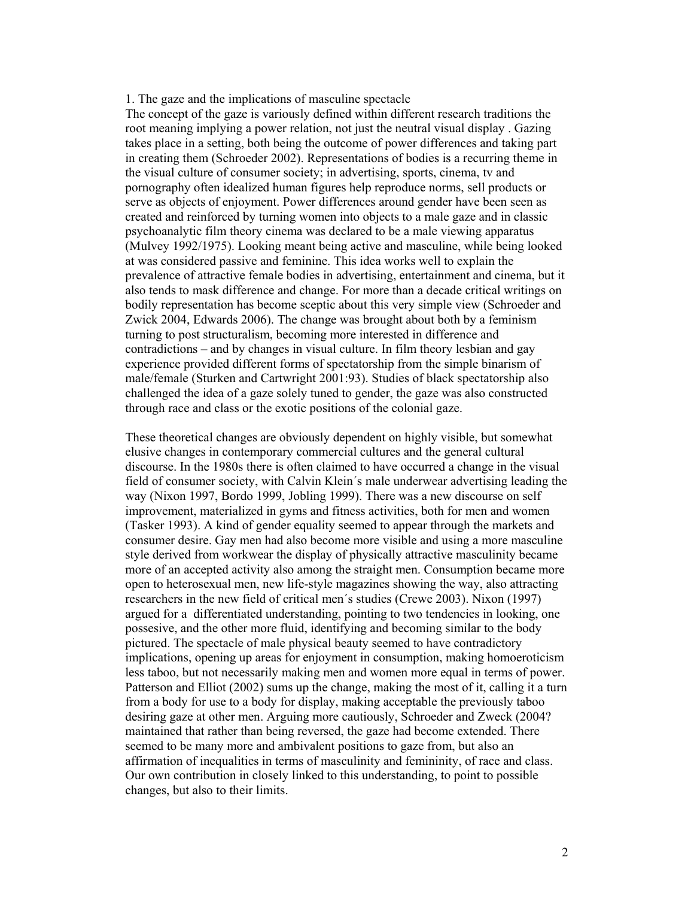## 1. The gaze and the implications of masculine spectacle

The concept of the gaze is variously defined within different research traditions the root meaning implying a power relation, not just the neutral visual display . Gazing takes place in a setting, both being the outcome of power differences and taking part in creating them (Schroeder 2002). Representations of bodies is a recurring theme in the visual culture of consumer society; in advertising, sports, cinema, tv and pornography often idealized human figures help reproduce norms, sell products or serve as objects of enjoyment. Power differences around gender have been seen as created and reinforced by turning women into objects to a male gaze and in classic psychoanalytic film theory cinema was declared to be a male viewing apparatus (Mulvey 1992/1975). Looking meant being active and masculine, while being looked at was considered passive and feminine. This idea works well to explain the prevalence of attractive female bodies in advertising, entertainment and cinema, but it also tends to mask difference and change. For more than a decade critical writings on bodily representation has become sceptic about this very simple view (Schroeder and Zwick 2004, Edwards 2006). The change was brought about both by a feminism turning to post structuralism, becoming more interested in difference and contradictions – and by changes in visual culture. In film theory lesbian and gay experience provided different forms of spectatorship from the simple binarism of male/female (Sturken and Cartwright 2001:93). Studies of black spectatorship also challenged the idea of a gaze solely tuned to gender, the gaze was also constructed through race and class or the exotic positions of the colonial gaze.

These theoretical changes are obviously dependent on highly visible, but somewhat elusive changes in contemporary commercial cultures and the general cultural discourse. In the 1980s there is often claimed to have occurred a change in the visual field of consumer society, with Calvin Klein´s male underwear advertising leading the way (Nixon 1997, Bordo 1999, Jobling 1999). There was a new discourse on self improvement, materialized in gyms and fitness activities, both for men and women (Tasker 1993). A kind of gender equality seemed to appear through the markets and consumer desire. Gay men had also become more visible and using a more masculine style derived from workwear the display of physically attractive masculinity became more of an accepted activity also among the straight men. Consumption became more open to heterosexual men, new life-style magazines showing the way, also attracting researchers in the new field of critical men´s studies (Crewe 2003). Nixon (1997) argued for a differentiated understanding, pointing to two tendencies in looking, one possesive, and the other more fluid, identifying and becoming similar to the body pictured. The spectacle of male physical beauty seemed to have contradictory implications, opening up areas for enjoyment in consumption, making homoeroticism less taboo, but not necessarily making men and women more equal in terms of power. Patterson and Elliot (2002) sums up the change, making the most of it, calling it a turn from a body for use to a body for display, making acceptable the previously taboo desiring gaze at other men. Arguing more cautiously, Schroeder and Zweck (2004? maintained that rather than being reversed, the gaze had become extended. There seemed to be many more and ambivalent positions to gaze from, but also an affirmation of inequalities in terms of masculinity and femininity, of race and class. Our own contribution in closely linked to this understanding, to point to possible changes, but also to their limits.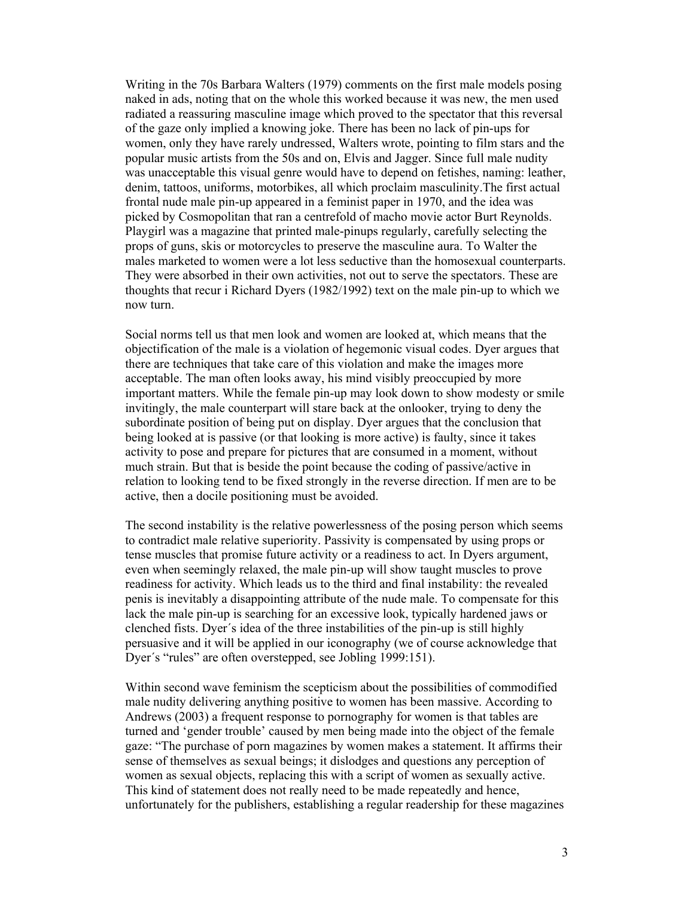Writing in the 70s Barbara Walters (1979) comments on the first male models posing naked in ads, noting that on the whole this worked because it was new, the men used radiated a reassuring masculine image which proved to the spectator that this reversal of the gaze only implied a knowing joke. There has been no lack of pin-ups for women, only they have rarely undressed, Walters wrote, pointing to film stars and the popular music artists from the 50s and on, Elvis and Jagger. Since full male nudity was unacceptable this visual genre would have to depend on fetishes, naming: leather, denim, tattoos, uniforms, motorbikes, all which proclaim masculinity.The first actual frontal nude male pin-up appeared in a feminist paper in 1970, and the idea was picked by Cosmopolitan that ran a centrefold of macho movie actor Burt Reynolds. Playgirl was a magazine that printed male-pinups regularly, carefully selecting the props of guns, skis or motorcycles to preserve the masculine aura. To Walter the males marketed to women were a lot less seductive than the homosexual counterparts. They were absorbed in their own activities, not out to serve the spectators. These are thoughts that recur i Richard Dyers (1982/1992) text on the male pin-up to which we now turn.

Social norms tell us that men look and women are looked at, which means that the objectification of the male is a violation of hegemonic visual codes. Dyer argues that there are techniques that take care of this violation and make the images more acceptable. The man often looks away, his mind visibly preoccupied by more important matters. While the female pin-up may look down to show modesty or smile invitingly, the male counterpart will stare back at the onlooker, trying to deny the subordinate position of being put on display. Dyer argues that the conclusion that being looked at is passive (or that looking is more active) is faulty, since it takes activity to pose and prepare for pictures that are consumed in a moment, without much strain. But that is beside the point because the coding of passive/active in relation to looking tend to be fixed strongly in the reverse direction. If men are to be active, then a docile positioning must be avoided.

The second instability is the relative powerlessness of the posing person which seems to contradict male relative superiority. Passivity is compensated by using props or tense muscles that promise future activity or a readiness to act. In Dyers argument, even when seemingly relaxed, the male pin-up will show taught muscles to prove readiness for activity. Which leads us to the third and final instability: the revealed penis is inevitably a disappointing attribute of the nude male. To compensate for this lack the male pin-up is searching for an excessive look, typically hardened jaws or clenched fists. Dyer´s idea of the three instabilities of the pin-up is still highly persuasive and it will be applied in our iconography (we of course acknowledge that Dyer´s "rules" are often overstepped, see Jobling 1999:151).

Within second wave feminism the scepticism about the possibilities of commodified male nudity delivering anything positive to women has been massive. According to Andrews (2003) a frequent response to pornography for women is that tables are turned and 'gender trouble' caused by men being made into the object of the female gaze: "The purchase of porn magazines by women makes a statement. It affirms their sense of themselves as sexual beings; it dislodges and questions any perception of women as sexual objects, replacing this with a script of women as sexually active. This kind of statement does not really need to be made repeatedly and hence, unfortunately for the publishers, establishing a regular readership for these magazines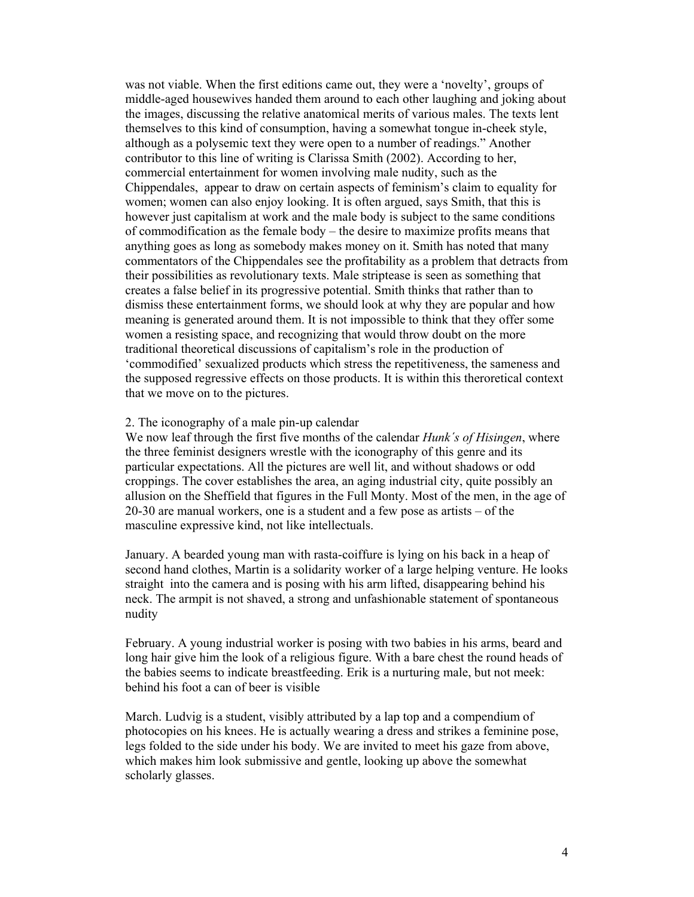was not viable. When the first editions came out, they were a 'novelty', groups of middle-aged housewives handed them around to each other laughing and joking about the images, discussing the relative anatomical merits of various males. The texts lent themselves to this kind of consumption, having a somewhat tongue in-cheek style, although as a polysemic text they were open to a number of readings." Another contributor to this line of writing is Clarissa Smith (2002). According to her, commercial entertainment for women involving male nudity, such as the Chippendales, appear to draw on certain aspects of feminism's claim to equality for women; women can also enjoy looking. It is often argued, says Smith, that this is however just capitalism at work and the male body is subject to the same conditions of commodification as the female body – the desire to maximize profits means that anything goes as long as somebody makes money on it. Smith has noted that many commentators of the Chippendales see the profitability as a problem that detracts from their possibilities as revolutionary texts. Male striptease is seen as something that creates a false belief in its progressive potential. Smith thinks that rather than to dismiss these entertainment forms, we should look at why they are popular and how meaning is generated around them. It is not impossible to think that they offer some women a resisting space, and recognizing that would throw doubt on the more traditional theoretical discussions of capitalism's role in the production of 'commodified' sexualized products which stress the repetitiveness, the sameness and the supposed regressive effects on those products. It is within this theroretical context that we move on to the pictures.

## 2. The iconography of a male pin-up calendar

We now leaf through the first five months of the calendar *Hunk's of Hisingen*, where the three feminist designers wrestle with the iconography of this genre and its particular expectations. All the pictures are well lit, and without shadows or odd croppings. The cover establishes the area, an aging industrial city, quite possibly an allusion on the Sheffield that figures in the Full Monty. Most of the men, in the age of 20-30 are manual workers, one is a student and a few pose as artists – of the masculine expressive kind, not like intellectuals.

January. A bearded young man with rasta-coiffure is lying on his back in a heap of second hand clothes, Martin is a solidarity worker of a large helping venture. He looks straight into the camera and is posing with his arm lifted, disappearing behind his neck. The armpit is not shaved, a strong and unfashionable statement of spontaneous nudity

February. A young industrial worker is posing with two babies in his arms, beard and long hair give him the look of a religious figure. With a bare chest the round heads of the babies seems to indicate breastfeeding. Erik is a nurturing male, but not meek: behind his foot a can of beer is visible

March. Ludvig is a student, visibly attributed by a lap top and a compendium of photocopies on his knees. He is actually wearing a dress and strikes a feminine pose, legs folded to the side under his body. We are invited to meet his gaze from above, which makes him look submissive and gentle, looking up above the somewhat scholarly glasses.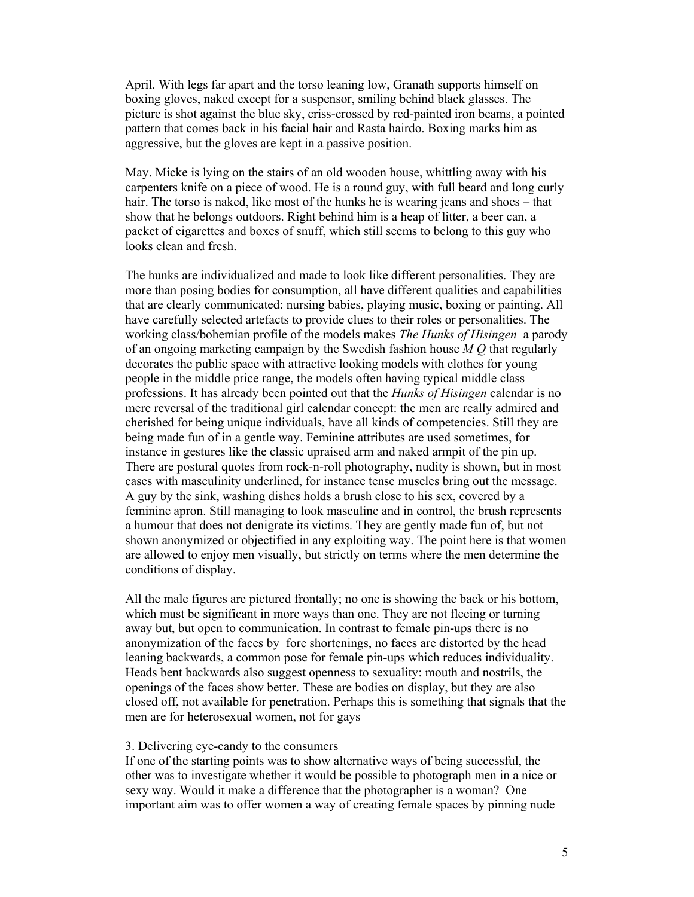April. With legs far apart and the torso leaning low, Granath supports himself on boxing gloves, naked except for a suspensor, smiling behind black glasses. The picture is shot against the blue sky, criss-crossed by red-painted iron beams, a pointed pattern that comes back in his facial hair and Rasta hairdo. Boxing marks him as aggressive, but the gloves are kept in a passive position.

May. Micke is lying on the stairs of an old wooden house, whittling away with his carpenters knife on a piece of wood. He is a round guy, with full beard and long curly hair. The torso is naked, like most of the hunks he is wearing jeans and shoes – that show that he belongs outdoors. Right behind him is a heap of litter, a beer can, a packet of cigarettes and boxes of snuff, which still seems to belong to this guy who looks clean and fresh.

The hunks are individualized and made to look like different personalities. They are more than posing bodies for consumption, all have different qualities and capabilities that are clearly communicated: nursing babies, playing music, boxing or painting. All have carefully selected artefacts to provide clues to their roles or personalities. The working class/bohemian profile of the models makes *The Hunks of Hisingen* a parody of an ongoing marketing campaign by the Swedish fashion house  $M O$  that regularly decorates the public space with attractive looking models with clothes for young people in the middle price range, the models often having typical middle class professions. It has already been pointed out that the *Hunks of Hisingen* calendar is no mere reversal of the traditional girl calendar concept: the men are really admired and cherished for being unique individuals, have all kinds of competencies. Still they are being made fun of in a gentle way. Feminine attributes are used sometimes, for instance in gestures like the classic upraised arm and naked armpit of the pin up. There are postural quotes from rock-n-roll photography, nudity is shown, but in most cases with masculinity underlined, for instance tense muscles bring out the message. A guy by the sink, washing dishes holds a brush close to his sex, covered by a feminine apron. Still managing to look masculine and in control, the brush represents a humour that does not denigrate its victims. They are gently made fun of, but not shown anonymized or objectified in any exploiting way. The point here is that women are allowed to enjoy men visually, but strictly on terms where the men determine the conditions of display.

All the male figures are pictured frontally; no one is showing the back or his bottom, which must be significant in more ways than one. They are not fleeing or turning away but, but open to communication. In contrast to female pin-ups there is no anonymization of the faces by fore shortenings, no faces are distorted by the head leaning backwards, a common pose for female pin-ups which reduces individuality. Heads bent backwards also suggest openness to sexuality: mouth and nostrils, the openings of the faces show better. These are bodies on display, but they are also closed off, not available for penetration. Perhaps this is something that signals that the men are for heterosexual women, not for gays

### 3. Delivering eye-candy to the consumers

If one of the starting points was to show alternative ways of being successful, the other was to investigate whether it would be possible to photograph men in a nice or sexy way. Would it make a difference that the photographer is a woman? One important aim was to offer women a way of creating female spaces by pinning nude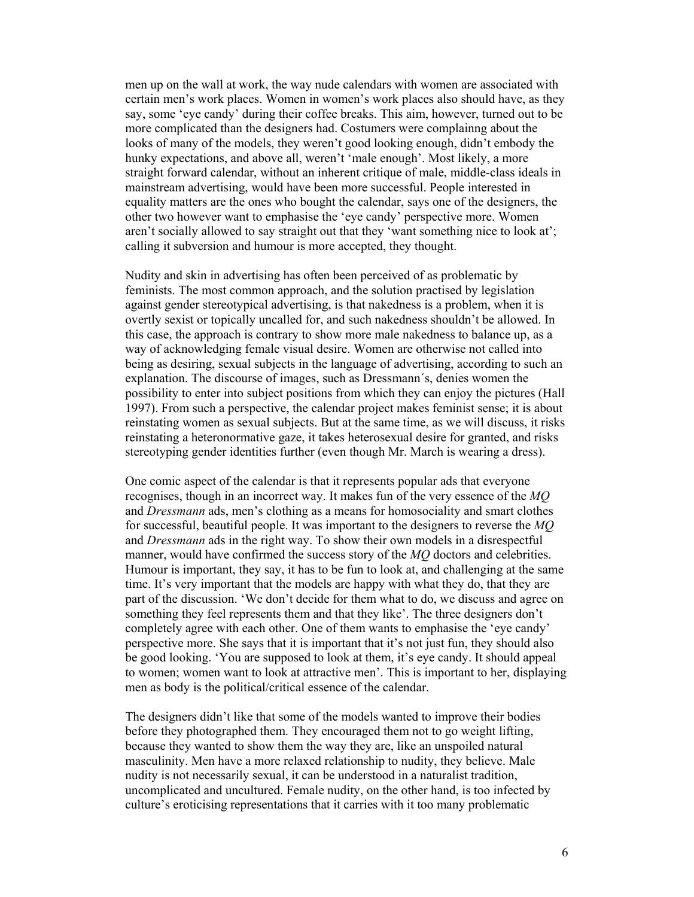men up on the wall at work, the way nude calendars with women are associated with certain men's work places. Women in women's work places also should have, as they say, some 'eye candy' during their coffee breaks. This aim, however, turned out to be more complicated than the designers had. Costumers were complainng about the looks of many of the models, they weren't good looking enough, didn't embody the hunky expectations, and above all, weren't 'male enough'. Most likely, a more straight forward calendar, without an inherent critique of male, middle-class ideals in mainstream advertising, would have been more successful. People interested in equality matters are the ones who bought the calendar, says one of the designers, the other two however want to emphasise the 'eye candy' perspective more. Women aren't socially allowed to say straight out that they 'want something nice to look at'; calling it subversion and humour is more accepted, they thought.

Nudity and skin in advertising has often been perceived of as problematic by feminists. The most common approach, and the solution practised by legislation against gender stereotypical advertising, is that nakedness is a problem, when it is overtly sexist or topically uncalled for, and such nakedness shouldn't be allowed. In this case, the approach is contrary to show more male nakedness to balance up, as a way of acknowledging female visual desire. Women are otherwise not called into being as desiring, sexual subjects in the language of advertising, according to such an explanation. The discourse of images, such as Dressmann´s, denies women the possibility to enter into subject positions from which they can enjoy the pictures (Hall 1997). From such a perspective, the calendar project makes feminist sense; it is about reinstating women as sexual subjects. But at the same time, as we will discuss, it risks reinstating a heteronormative gaze, it takes heterosexual desire for granted, and risks stereotyping gender identities further (even though Mr. March is wearing a dress).

One comic aspect of the calendar is that it represents popular ads that everyone recognises, though in an incorrect way. It makes fun of the very essence of the MQ and Dressmann ads, men's clothing as a means for homosociality and smart clothes for successful, beautiful people. It was important to the designers to reverse the MQ and Dressmann ads in the right way. To show their own models in a disrespectful manner, would have confirmed the success story of the MQ doctors and celebrities. Humour is important, they say, it has to be fun to look at, and challenging at the same time. It's very important that the models are happy with what they do, that they are part of the discussion. 'We don't decide for them what to do, we discuss and agree on something they feel represents them and that they like'. The three designers don't completely agree with each other. One of them wants to emphasise the 'eye candy' perspective more. She says that it is important that it's not just fun, they should also be good looking. 'You are supposed to look at them, it's eye candy. It should appeal to women; women want to look at attractive men'. This is important to her, displaying men as body is the political/critical essence of the calendar.

The designers didn't like that some of the models wanted to improve their bodies before they photographed them. They encouraged them not to go weight lifting, because they wanted to show them the way they are, like an unspoiled natural masculinity. Men have a more relaxed relationship to nudity, they believe. Male nudity is not necessarily sexual, it can be understood in a naturalist tradition, uncomplicated and uncultured. Female nudity, on the other hand, is too infected by culture's eroticising representations that it carries with it too many problematic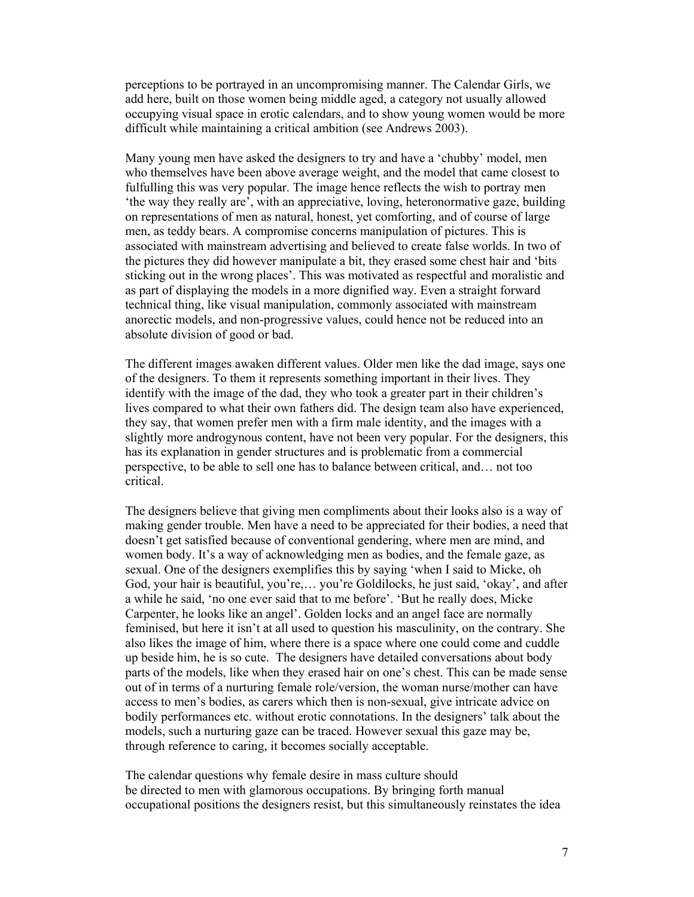perceptions to be portrayed in an uncompromising manner. The Calendar Girls, we add here, built on those women being middle aged, a category not usually allowed occupying visual space in erotic calendars, and to show young women would be more difficult while maintaining a critical ambition (see Andrews 2003).

Many young men have asked the designers to try and have a 'chubby' model, men who themselves have been above average weight, and the model that came closest to fulfulling this was very popular. The image hence reflects the wish to portray men 'the way they really are', with an appreciative, loving, heteronormative gaze, building on representations of men as natural, honest, yet comforting, and of course of large men, as teddy bears. A compromise concerns manipulation of pictures. This is associated with mainstream advertising and believed to create false worlds. In two of the pictures they did however manipulate a bit, they erased some chest hair and 'bits sticking out in the wrong places'. This was motivated as respectful and moralistic and as part of displaying the models in a more dignified way. Even a straight forward technical thing, like visual manipulation, commonly associated with mainstream anorectic models, and non-progressive values, could hence not be reduced into an absolute division of good or bad.

The different images awaken different values. Older men like the dad image, says one of the designers. To them it represents something important in their lives. They identify with the image of the dad, they who took a greater part in their children's lives compared to what their own fathers did. The design team also have experienced, they say, that women prefer men with a firm male identity, and the images with a slightly more androgynous content, have not been very popular. For the designers, this has its explanation in gender structures and is problematic from a commercial perspective, to be able to sell one has to balance between critical, and… not too critical.

The designers believe that giving men compliments about their looks also is a way of making gender trouble. Men have a need to be appreciated for their bodies, a need that doesn't get satisfied because of conventional gendering, where men are mind, and women body. It's a way of acknowledging men as bodies, and the female gaze, as sexual. One of the designers exemplifies this by saying 'when I said to Micke, oh God, your hair is beautiful, you're,… you're Goldilocks, he just said, 'okay', and after a while he said, 'no one ever said that to me before'. 'But he really does, Micke Carpenter, he looks like an angel'. Golden locks and an angel face are normally feminised, but here it isn't at all used to question his masculinity, on the contrary. She also likes the image of him, where there is a space where one could come and cuddle up beside him, he is so cute. The designers have detailed conversations about body parts of the models, like when they erased hair on one's chest. This can be made sense out of in terms of a nurturing female role/version, the woman nurse/mother can have access to men's bodies, as carers which then is non-sexual, give intricate advice on bodily performances etc. without erotic connotations. In the designers' talk about the models, such a nurturing gaze can be traced. However sexual this gaze may be, through reference to caring, it becomes socially acceptable.

The calendar questions why female desire in mass culture should be directed to men with glamorous occupations. By bringing forth manual occupational positions the designers resist, but this simultaneously reinstates the idea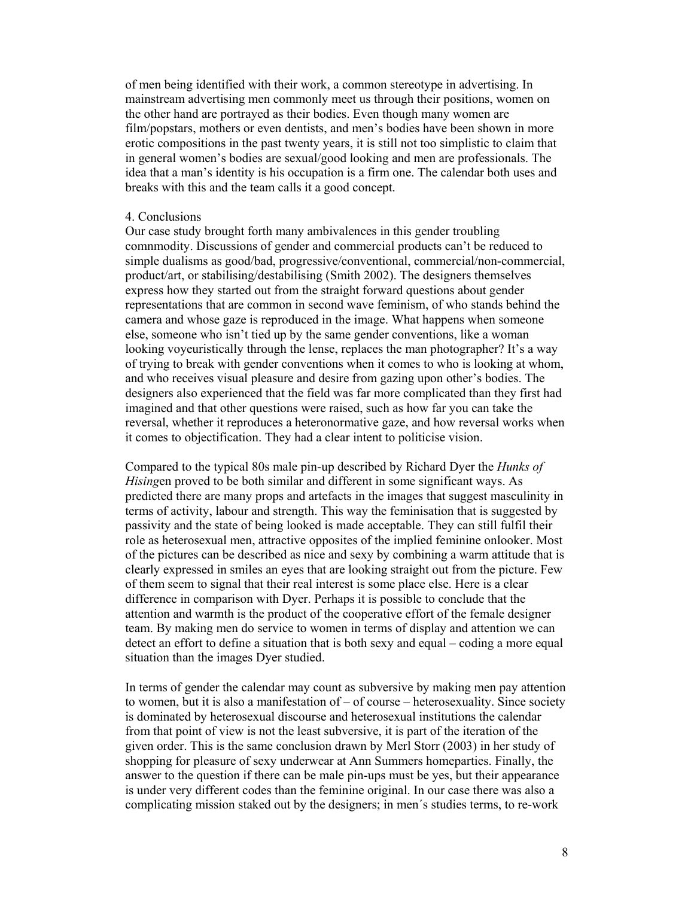of men being identified with their work, a common stereotype in advertising. In mainstream advertising men commonly meet us through their positions, women on the other hand are portrayed as their bodies. Even though many women are film/popstars, mothers or even dentists, and men's bodies have been shown in more erotic compositions in the past twenty years, it is still not too simplistic to claim that in general women's bodies are sexual/good looking and men are professionals. The idea that a man's identity is his occupation is a firm one. The calendar both uses and breaks with this and the team calls it a good concept.

### 4. Conclusions

Our case study brought forth many ambivalences in this gender troubling comnmodity. Discussions of gender and commercial products can't be reduced to simple dualisms as good/bad, progressive/conventional, commercial/non-commercial, product/art, or stabilising/destabilising (Smith 2002). The designers themselves express how they started out from the straight forward questions about gender representations that are common in second wave feminism, of who stands behind the camera and whose gaze is reproduced in the image. What happens when someone else, someone who isn't tied up by the same gender conventions, like a woman looking voyeuristically through the lense, replaces the man photographer? It's a way of trying to break with gender conventions when it comes to who is looking at whom, and who receives visual pleasure and desire from gazing upon other's bodies. The designers also experienced that the field was far more complicated than they first had imagined and that other questions were raised, such as how far you can take the reversal, whether it reproduces a heteronormative gaze, and how reversal works when it comes to objectification. They had a clear intent to politicise vision.

Compared to the typical 80s male pin-up described by Richard Dyer the Hunks of Hisingen proved to be both similar and different in some significant ways. As predicted there are many props and artefacts in the images that suggest masculinity in terms of activity, labour and strength. This way the feminisation that is suggested by passivity and the state of being looked is made acceptable. They can still fulfil their role as heterosexual men, attractive opposites of the implied feminine onlooker. Most of the pictures can be described as nice and sexy by combining a warm attitude that is clearly expressed in smiles an eyes that are looking straight out from the picture. Few of them seem to signal that their real interest is some place else. Here is a clear difference in comparison with Dyer. Perhaps it is possible to conclude that the attention and warmth is the product of the cooperative effort of the female designer team. By making men do service to women in terms of display and attention we can detect an effort to define a situation that is both sexy and equal – coding a more equal situation than the images Dyer studied.

In terms of gender the calendar may count as subversive by making men pay attention to women, but it is also a manifestation of – of course – heterosexuality. Since society is dominated by heterosexual discourse and heterosexual institutions the calendar from that point of view is not the least subversive, it is part of the iteration of the given order. This is the same conclusion drawn by Merl Storr (2003) in her study of shopping for pleasure of sexy underwear at Ann Summers homeparties. Finally, the answer to the question if there can be male pin-ups must be yes, but their appearance is under very different codes than the feminine original. In our case there was also a complicating mission staked out by the designers; in men´s studies terms, to re-work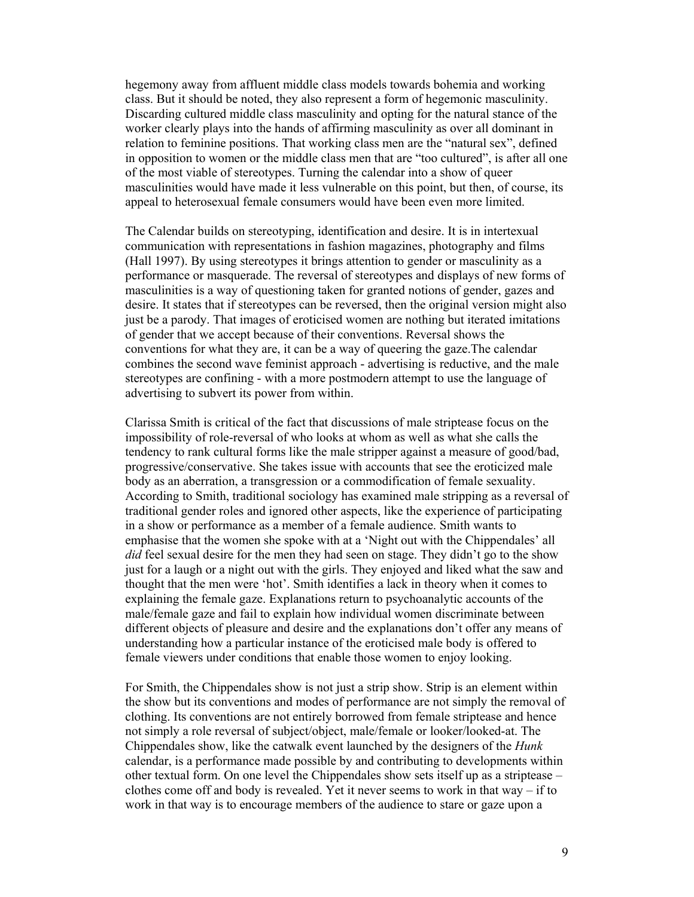hegemony away from affluent middle class models towards bohemia and working class. But it should be noted, they also represent a form of hegemonic masculinity. Discarding cultured middle class masculinity and opting for the natural stance of the worker clearly plays into the hands of affirming masculinity as over all dominant in relation to feminine positions. That working class men are the "natural sex", defined in opposition to women or the middle class men that are "too cultured", is after all one of the most viable of stereotypes. Turning the calendar into a show of queer masculinities would have made it less vulnerable on this point, but then, of course, its appeal to heterosexual female consumers would have been even more limited.

The Calendar builds on stereotyping, identification and desire. It is in intertexual communication with representations in fashion magazines, photography and films (Hall 1997). By using stereotypes it brings attention to gender or masculinity as a performance or masquerade. The reversal of stereotypes and displays of new forms of masculinities is a way of questioning taken for granted notions of gender, gazes and desire. It states that if stereotypes can be reversed, then the original version might also just be a parody. That images of eroticised women are nothing but iterated imitations of gender that we accept because of their conventions. Reversal shows the conventions for what they are, it can be a way of queering the gaze.The calendar combines the second wave feminist approach - advertising is reductive, and the male stereotypes are confining - with a more postmodern attempt to use the language of advertising to subvert its power from within.

Clarissa Smith is critical of the fact that discussions of male striptease focus on the impossibility of role-reversal of who looks at whom as well as what she calls the tendency to rank cultural forms like the male stripper against a measure of good/bad, progressive/conservative. She takes issue with accounts that see the eroticized male body as an aberration, a transgression or a commodification of female sexuality. According to Smith, traditional sociology has examined male stripping as a reversal of traditional gender roles and ignored other aspects, like the experience of participating in a show or performance as a member of a female audience. Smith wants to emphasise that the women she spoke with at a 'Night out with the Chippendales' all did feel sexual desire for the men they had seen on stage. They didn't go to the show just for a laugh or a night out with the girls. They enjoyed and liked what the saw and thought that the men were 'hot'. Smith identifies a lack in theory when it comes to explaining the female gaze. Explanations return to psychoanalytic accounts of the male/female gaze and fail to explain how individual women discriminate between different objects of pleasure and desire and the explanations don't offer any means of understanding how a particular instance of the eroticised male body is offered to female viewers under conditions that enable those women to enjoy looking.

For Smith, the Chippendales show is not just a strip show. Strip is an element within the show but its conventions and modes of performance are not simply the removal of clothing. Its conventions are not entirely borrowed from female striptease and hence not simply a role reversal of subject/object, male/female or looker/looked-at. The Chippendales show, like the catwalk event launched by the designers of the Hunk calendar, is a performance made possible by and contributing to developments within other textual form. On one level the Chippendales show sets itself up as a striptease – clothes come off and body is revealed. Yet it never seems to work in that way – if to work in that way is to encourage members of the audience to stare or gaze upon a